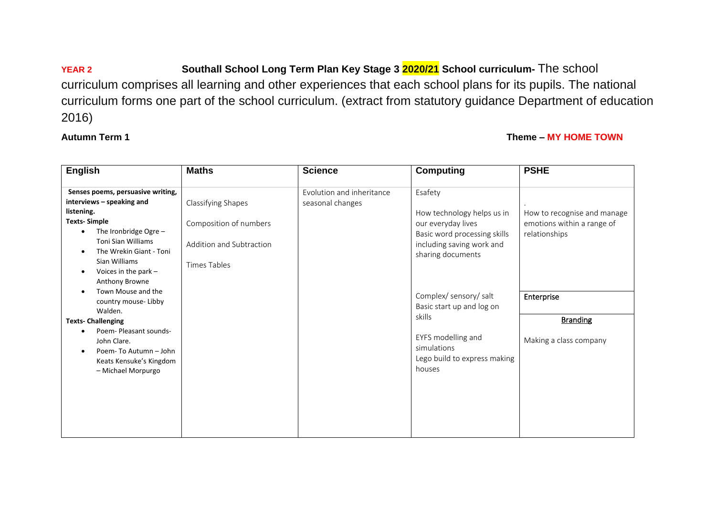**YEAR 2 Southall School Long Term Plan Key Stage 3 2020/21 School curriculum-** The school curriculum comprises all learning and other experiences that each school plans for its pupils. The national curriculum forms one part of the school curriculum. (extract from statutory guidance Department of education 2016)

**Autumn Term 1** Theme – MY HOME TOWN

| <b>English</b>                                                                                                                                                                                                                                    | <b>Maths</b>                                                                             | <b>Science</b>                                | <b>Computing</b>                                                                                                                              | <b>PSHE</b>                                                                |
|---------------------------------------------------------------------------------------------------------------------------------------------------------------------------------------------------------------------------------------------------|------------------------------------------------------------------------------------------|-----------------------------------------------|-----------------------------------------------------------------------------------------------------------------------------------------------|----------------------------------------------------------------------------|
| Senses poems, persuasive writing,<br>interviews - speaking and<br>listening.<br><b>Texts-Simple</b><br>The Ironbridge Ogre $-$<br><b>Toni Sian Williams</b><br>The Wrekin Giant - Toni<br>Sian Williams<br>Voices in the park -<br>Anthony Browne | Classifying Shapes<br>Composition of numbers<br>Addition and Subtraction<br>Times Tables | Evolution and inheritance<br>seasonal changes | Esafety<br>How technology helps us in<br>our everyday lives<br>Basic word processing skills<br>including saving work and<br>sharing documents | How to recognise and manage<br>emotions within a range of<br>relationships |
| Town Mouse and the<br>country mouse-Libby<br>Walden.                                                                                                                                                                                              |                                                                                          |                                               | Complex/ sensory/ salt<br>Basic start up and log on                                                                                           | Enterprise                                                                 |
| <b>Texts-Challenging</b>                                                                                                                                                                                                                          |                                                                                          |                                               | skills                                                                                                                                        | <b>Branding</b>                                                            |
| Poem-Pleasant sounds-<br>John Clare.<br>Poem-To Autumn - John<br>Keats Kensuke's Kingdom<br>- Michael Morpurgo                                                                                                                                    |                                                                                          |                                               | EYFS modelling and<br>simulations<br>Lego build to express making<br>houses                                                                   | Making a class company                                                     |
|                                                                                                                                                                                                                                                   |                                                                                          |                                               |                                                                                                                                               |                                                                            |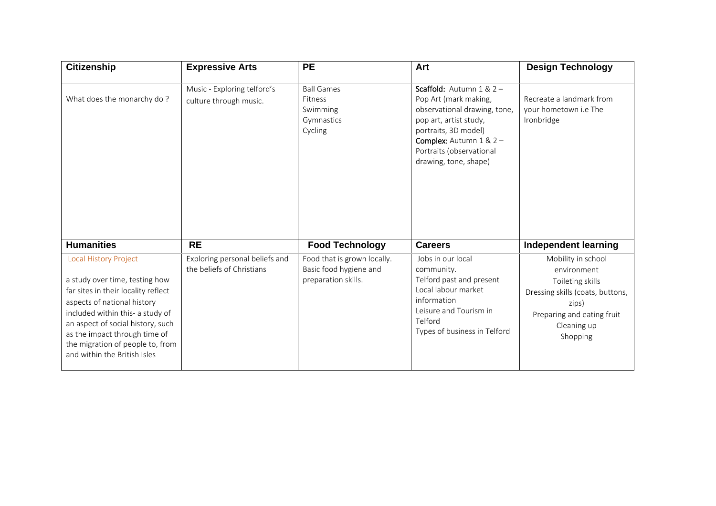| <b>Citizenship</b>                                                                                                                                                                                                                                                                                                 | <b>Expressive Arts</b>                                      | <b>PE</b>                                                                    | Art                                                                                                                                                                                                                            | <b>Design Technology</b>                                                                                                                                    |
|--------------------------------------------------------------------------------------------------------------------------------------------------------------------------------------------------------------------------------------------------------------------------------------------------------------------|-------------------------------------------------------------|------------------------------------------------------------------------------|--------------------------------------------------------------------------------------------------------------------------------------------------------------------------------------------------------------------------------|-------------------------------------------------------------------------------------------------------------------------------------------------------------|
| What does the monarchy do?                                                                                                                                                                                                                                                                                         | Music - Exploring telford's<br>culture through music.       | <b>Ball Games</b><br>Fitness<br>Swimming<br>Gymnastics<br>Cycling            | Scaffold: Autumn $1 & 2 -$<br>Pop Art (mark making,<br>observational drawing, tone,<br>pop art, artist study,<br>portraits, 3D model)<br><b>Complex:</b> Autumn $1 & 2 -$<br>Portraits (observational<br>drawing, tone, shape) | Recreate a landmark from<br>vour hometown i.e The<br>Ironbridge                                                                                             |
| <b>Humanities</b>                                                                                                                                                                                                                                                                                                  | <b>RE</b>                                                   | <b>Food Technology</b>                                                       | <b>Careers</b>                                                                                                                                                                                                                 | Independent learning                                                                                                                                        |
| <b>Local History Project</b><br>a study over time, testing how<br>far sites in their locality reflect<br>aspects of national history<br>included within this- a study of<br>an aspect of social history, such<br>as the impact through time of<br>the migration of people to, from<br>and within the British Isles | Exploring personal beliefs and<br>the beliefs of Christians | Food that is grown locally.<br>Basic food hygiene and<br>preparation skills. | Jobs in our local<br>community.<br>Telford past and present<br>Local labour market<br>information<br>Leisure and Tourism in<br>Telford<br>Types of business in Telford                                                         | Mobility in school<br>environment<br>Toileting skills<br>Dressing skills (coats, buttons,<br>zips)<br>Preparing and eating fruit<br>Cleaning up<br>Shopping |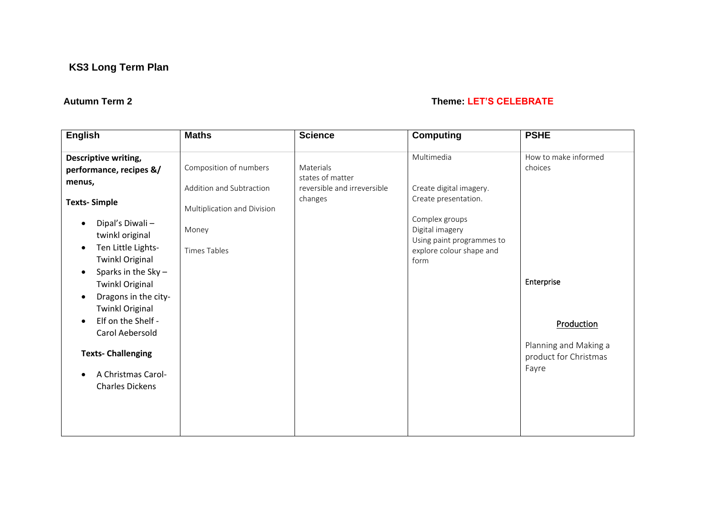### **Autumn Term 2 Theme: LET'S CELEBRATE**

| <b>English</b>                                                                                                                                                                         | <b>Maths</b>                                                                               | <b>Science</b>                                                          | <b>Computing</b>                                                                                                                | <b>PSHE</b>                                                           |
|----------------------------------------------------------------------------------------------------------------------------------------------------------------------------------------|--------------------------------------------------------------------------------------------|-------------------------------------------------------------------------|---------------------------------------------------------------------------------------------------------------------------------|-----------------------------------------------------------------------|
| Descriptive writing,<br>performance, recipes &/<br>menus,<br><b>Texts-Simple</b><br>Dipal's Diwali-<br>$\bullet$<br>twinkl original                                                    | Composition of numbers<br>Addition and Subtraction<br>Multiplication and Division<br>Money | Materials<br>states of matter<br>reversible and irreversible<br>changes | Multimedia<br>Create digital imagery.<br>Create presentation.<br>Complex groups<br>Digital imagery<br>Using paint programmes to | How to make informed<br>choices                                       |
| Ten Little Lights-<br>$\bullet$<br><b>Twinkl Original</b><br>Sparks in the Sky -<br>$\bullet$<br><b>Twinkl Original</b><br>Dragons in the city-<br>$\bullet$<br><b>Twinkl Original</b> | <b>Times Tables</b>                                                                        |                                                                         | explore colour shape and<br>form                                                                                                | Enterprise                                                            |
| Elf on the Shelf -<br>$\bullet$<br>Carol Aebersold<br><b>Texts- Challenging</b><br>A Christmas Carol-<br><b>Charles Dickens</b>                                                        |                                                                                            |                                                                         |                                                                                                                                 | Production<br>Planning and Making a<br>product for Christmas<br>Fayre |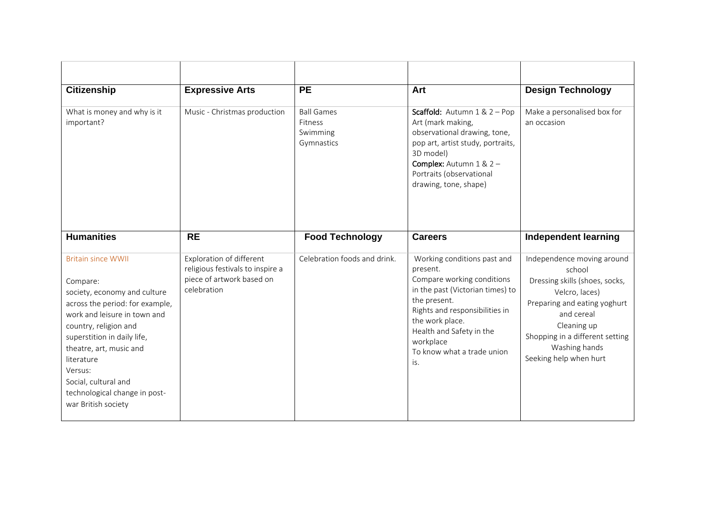| <b>Citizenship</b>                                                                                                                                                                                                                                                                                                                   | <b>Expressive Arts</b>                                                                                   | <b>PE</b>                                              | Art                                                                                                                                                                                                                                                          | <b>Design Technology</b>                                                                                                                                                                                                            |
|--------------------------------------------------------------------------------------------------------------------------------------------------------------------------------------------------------------------------------------------------------------------------------------------------------------------------------------|----------------------------------------------------------------------------------------------------------|--------------------------------------------------------|--------------------------------------------------------------------------------------------------------------------------------------------------------------------------------------------------------------------------------------------------------------|-------------------------------------------------------------------------------------------------------------------------------------------------------------------------------------------------------------------------------------|
| What is money and why is it<br>important?                                                                                                                                                                                                                                                                                            | Music - Christmas production                                                                             | <b>Ball Games</b><br>Fitness<br>Swimming<br>Gymnastics | <b>Scaffold:</b> Autumn $1 & 2 - Pop$<br>Art (mark making,<br>observational drawing, tone,<br>pop art, artist study, portraits,<br>3D model)<br><b>Complex:</b> Autumn $1 & 2 -$<br>Portraits (observational<br>drawing, tone, shape)                        | Make a personalised box for<br>an occasion                                                                                                                                                                                          |
| <b>Humanities</b>                                                                                                                                                                                                                                                                                                                    | <b>RE</b>                                                                                                | <b>Food Technology</b>                                 | <b>Careers</b>                                                                                                                                                                                                                                               | <b>Independent learning</b>                                                                                                                                                                                                         |
| <b>Britain since WWII</b><br>Compare:<br>society, economy and culture<br>across the period: for example,<br>work and leisure in town and<br>country, religion and<br>superstition in daily life,<br>theatre, art, music and<br>literature<br>Versus:<br>Social, cultural and<br>technological change in post-<br>war British society | Exploration of different<br>religious festivals to inspire a<br>piece of artwork based on<br>celebration | Celebration foods and drink.                           | Working conditions past and<br>present.<br>Compare working conditions<br>in the past (Victorian times) to<br>the present.<br>Rights and responsibilities in<br>the work place.<br>Health and Safety in the<br>workplace<br>To know what a trade union<br>is. | Independence moving around<br>school<br>Dressing skills (shoes, socks,<br>Velcro, laces)<br>Preparing and eating yoghurt<br>and cereal<br>Cleaning up<br>Shopping in a different setting<br>Washing hands<br>Seeking help when hurt |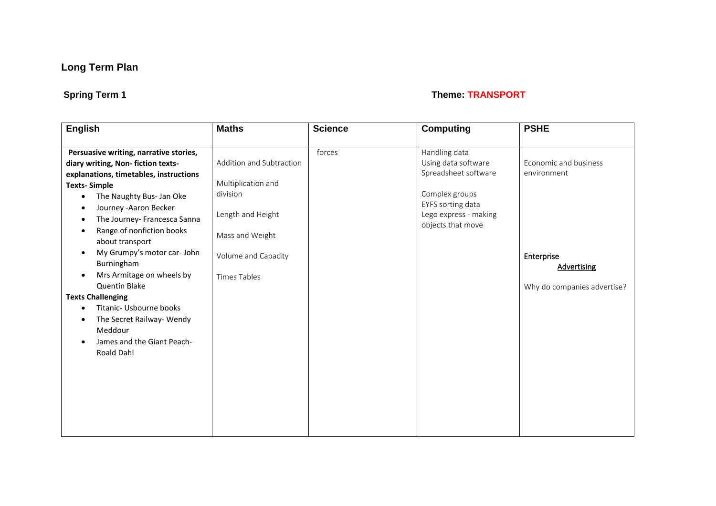# **Spring Term 1** Theme: TRANSPORT

| <b>English</b>                                                                                                                                                                                                                                            | <b>Maths</b>                                                                    | <b>Science</b> | <b>Computing</b>                                                                                                                                  | <b>PSHE</b>                          |
|-----------------------------------------------------------------------------------------------------------------------------------------------------------------------------------------------------------------------------------------------------------|---------------------------------------------------------------------------------|----------------|---------------------------------------------------------------------------------------------------------------------------------------------------|--------------------------------------|
| Persuasive writing, narrative stories,<br>diary writing, Non-fiction texts-<br>explanations, timetables, instructions<br><b>Texts-Simple</b><br>The Naughty Bus- Jan Oke<br>$\bullet$<br>Journey - Aaron Becker<br>٠<br>The Journey- Francesca Sanna<br>٠ | Addition and Subtraction<br>Multiplication and<br>division<br>Length and Height | forces         | Handling data<br>Using data software<br>Spreadsheet software<br>Complex groups<br>EYFS sorting data<br>Lego express - making<br>objects that move | Economic and business<br>environment |
| Range of nonfiction books<br>$\bullet$<br>about transport                                                                                                                                                                                                 | Mass and Weight                                                                 |                |                                                                                                                                                   |                                      |
| My Grumpy's motor car- John<br>$\bullet$<br>Burningham<br>Mrs Armitage on wheels by<br>$\bullet$                                                                                                                                                          | Volume and Capacity<br><b>Times Tables</b>                                      |                |                                                                                                                                                   | Enterprise<br>Advertising            |
| Quentin Blake<br><b>Texts Challenging</b>                                                                                                                                                                                                                 |                                                                                 |                |                                                                                                                                                   | Why do companies advertise?          |
| Titanic- Usbourne books<br>$\bullet$<br>The Secret Railway- Wendy<br>$\bullet$<br>Meddour<br>James and the Giant Peach-<br>$\bullet$<br><b>Roald Dahl</b>                                                                                                 |                                                                                 |                |                                                                                                                                                   |                                      |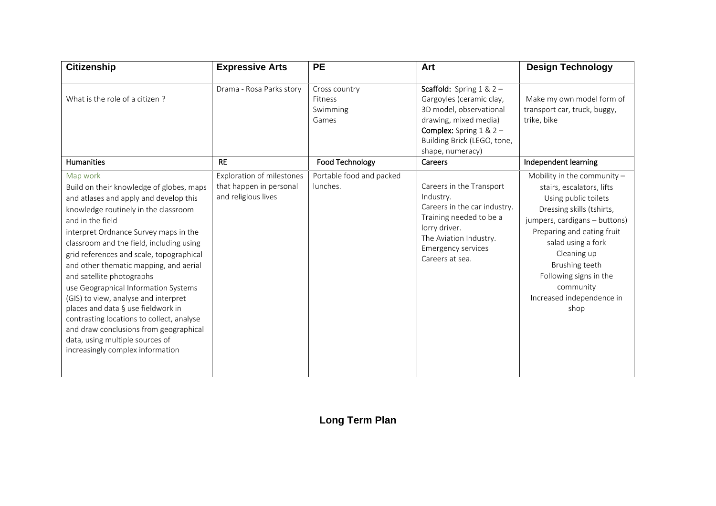| <b>Citizenship</b>                                                                                                                                                                                                                                                                                                                                                                                                                                                                                                                                                                                                                                     | <b>Expressive Arts</b>                                                             | <b>PE</b>                                            | Art                                                                                                                                                                                                      | <b>Design Technology</b>                                                                                                                                                                                                                                                                                          |
|--------------------------------------------------------------------------------------------------------------------------------------------------------------------------------------------------------------------------------------------------------------------------------------------------------------------------------------------------------------------------------------------------------------------------------------------------------------------------------------------------------------------------------------------------------------------------------------------------------------------------------------------------------|------------------------------------------------------------------------------------|------------------------------------------------------|----------------------------------------------------------------------------------------------------------------------------------------------------------------------------------------------------------|-------------------------------------------------------------------------------------------------------------------------------------------------------------------------------------------------------------------------------------------------------------------------------------------------------------------|
| What is the role of a citizen?                                                                                                                                                                                                                                                                                                                                                                                                                                                                                                                                                                                                                         | Drama - Rosa Parks story                                                           | Cross country<br><b>Fitness</b><br>Swimming<br>Games | <b>Scaffold:</b> Spring $1 & 2 -$<br>Gargoyles (ceramic clay,<br>3D model, observational<br>drawing, mixed media)<br><b>Complex:</b> Spring $1 & 2 -$<br>Building Brick (LEGO, tone,<br>shape, numeracy) | Make my own model form of<br>transport car, truck, buggy,<br>trike, bike                                                                                                                                                                                                                                          |
| <b>Humanities</b>                                                                                                                                                                                                                                                                                                                                                                                                                                                                                                                                                                                                                                      | <b>RE</b>                                                                          | Food Technology                                      | <b>Careers</b>                                                                                                                                                                                           | Independent learning                                                                                                                                                                                                                                                                                              |
| Map work<br>Build on their knowledge of globes, maps<br>and atlases and apply and develop this<br>knowledge routinely in the classroom<br>and in the field<br>interpret Ordnance Survey maps in the<br>classroom and the field, including using<br>grid references and scale, topographical<br>and other thematic mapping, and aerial<br>and satellite photographs<br>use Geographical Information Systems<br>(GIS) to view, analyse and interpret<br>places and data § use fieldwork in<br>contrasting locations to collect, analyse<br>and draw conclusions from geographical<br>data, using multiple sources of<br>increasingly complex information | <b>Exploration of milestones</b><br>that happen in personal<br>and religious lives | Portable food and packed<br>lunches.                 | Careers in the Transport<br>Industry.<br>Careers in the car industry.<br>Training needed to be a<br>lorry driver.<br>The Aviation Industry.<br><b>Emergency services</b><br>Careers at sea.              | Mobility in the community $-$<br>stairs, escalators, lifts<br>Using public toilets<br>Dressing skills (tshirts,<br>jumpers, cardigans - buttons)<br>Preparing and eating fruit<br>salad using a fork<br>Cleaning up<br>Brushing teeth<br>Following signs in the<br>community<br>Increased independence in<br>shop |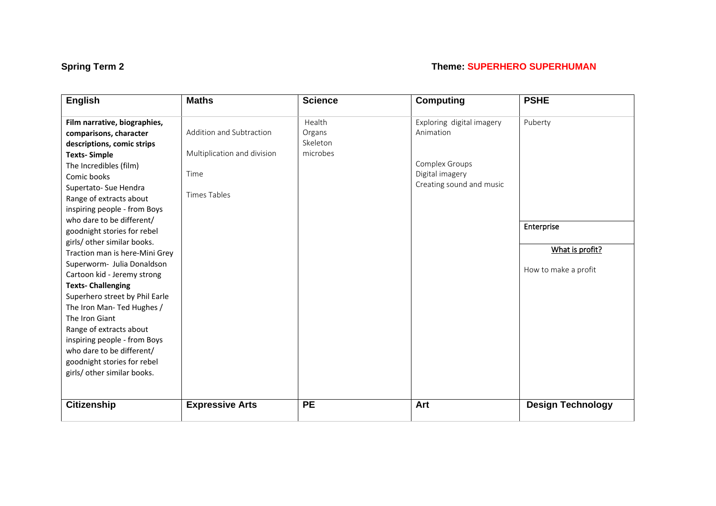# **Spring Term 2 Theme: SUPERHERO SUPERHUMAN**

| <b>English</b>                 | <b>Maths</b>                | <b>Science</b> | <b>Computing</b>          | <b>PSHE</b>              |
|--------------------------------|-----------------------------|----------------|---------------------------|--------------------------|
| Film narrative, biographies,   |                             | Health         | Exploring digital imagery | Puberty                  |
| comparisons, character         | Addition and Subtraction    | Organs         | Animation                 |                          |
| descriptions, comic strips     |                             | Skeleton       |                           |                          |
| <b>Texts-Simple</b>            | Multiplication and division | microbes       |                           |                          |
| The Incredibles (film)         |                             |                | Complex Groups            |                          |
| Comic books                    | Time                        |                | Digital imagery           |                          |
| Supertato- Sue Hendra          |                             |                | Creating sound and music  |                          |
| Range of extracts about        | <b>Times Tables</b>         |                |                           |                          |
| inspiring people - from Boys   |                             |                |                           |                          |
| who dare to be different/      |                             |                |                           |                          |
| goodnight stories for rebel    |                             |                |                           | Enterprise               |
| girls/ other similar books.    |                             |                |                           |                          |
| Traction man is here-Mini Grey |                             |                |                           | What is profit?          |
| Superworm- Julia Donaldson     |                             |                |                           |                          |
| Cartoon kid - Jeremy strong    |                             |                |                           | How to make a profit     |
| <b>Texts-Challenging</b>       |                             |                |                           |                          |
| Superhero street by Phil Earle |                             |                |                           |                          |
| The Iron Man- Ted Hughes /     |                             |                |                           |                          |
| The Iron Giant                 |                             |                |                           |                          |
| Range of extracts about        |                             |                |                           |                          |
| inspiring people - from Boys   |                             |                |                           |                          |
| who dare to be different/      |                             |                |                           |                          |
| goodnight stories for rebel    |                             |                |                           |                          |
| girls/ other similar books.    |                             |                |                           |                          |
|                                |                             |                |                           |                          |
| <b>Citizenship</b>             | <b>Expressive Arts</b>      | <b>PE</b>      | Art                       | <b>Design Technology</b> |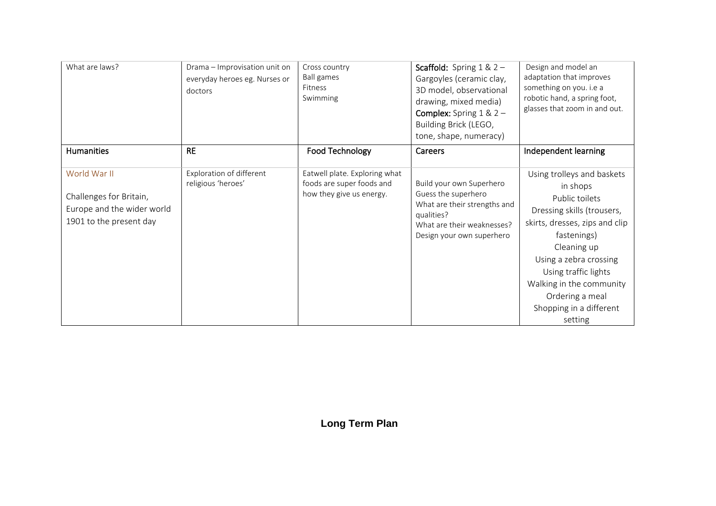| What are laws?                                                                                   | Drama - Improvisation unit on<br>everyday heroes eg. Nurses or<br>doctors | Cross country<br><b>Ball games</b><br>Fitness<br>Swimming                              | <b>Scaffold:</b> Spring $1 & 2 -$<br>Gargoyles (ceramic clay,<br>3D model, observational<br>drawing, mixed media)<br><b>Complex:</b> Spring $1 & 2 -$<br>Building Brick (LEGO,<br>tone, shape, numeracy) | Design and model an<br>adaptation that improves<br>something on you. i.e a<br>robotic hand, a spring foot,<br>glasses that zoom in and out.                                                                                                                                                   |
|--------------------------------------------------------------------------------------------------|---------------------------------------------------------------------------|----------------------------------------------------------------------------------------|----------------------------------------------------------------------------------------------------------------------------------------------------------------------------------------------------------|-----------------------------------------------------------------------------------------------------------------------------------------------------------------------------------------------------------------------------------------------------------------------------------------------|
| <b>Humanities</b>                                                                                | <b>RE</b>                                                                 | <b>Food Technology</b>                                                                 | Careers                                                                                                                                                                                                  | Independent learning                                                                                                                                                                                                                                                                          |
| World War II<br>Challenges for Britain,<br>Europe and the wider world<br>1901 to the present day | Exploration of different<br>religious 'heroes'                            | Eatwell plate. Exploring what<br>foods are super foods and<br>how they give us energy. | Build your own Superhero<br>Guess the superhero<br>What are their strengths and<br>qualities?<br>What are their weaknesses?<br>Design your own superhero                                                 | Using trolleys and baskets<br>in shops<br>Public toilets<br>Dressing skills (trousers,<br>skirts, dresses, zips and clip<br>fastenings)<br>Cleaning up<br>Using a zebra crossing<br>Using traffic lights<br>Walking in the community<br>Ordering a meal<br>Shopping in a different<br>setting |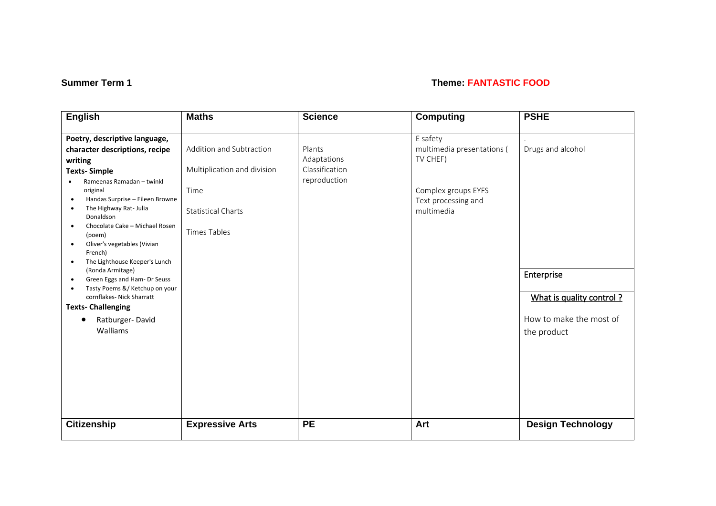### **Summer Term 1** Theme: **FANTASTIC FOOD**

| <b>English</b>                                        | <b>Maths</b>                | <b>Science</b> | <b>Computing</b>           | <b>PSHE</b>              |
|-------------------------------------------------------|-----------------------------|----------------|----------------------------|--------------------------|
| Poetry, descriptive language,                         |                             |                | E safety                   |                          |
|                                                       | Addition and Subtraction    |                |                            |                          |
| character descriptions, recipe                        |                             | Plants         | multimedia presentations ( | Drugs and alcohol        |
| writing                                               |                             | Adaptations    | TV CHEF)                   |                          |
| <b>Texts-Simple</b>                                   | Multiplication and division | Classification |                            |                          |
| Rameenas Ramadan - twinkl                             |                             | reproduction   |                            |                          |
| original                                              | Time                        |                | Complex groups EYFS        |                          |
| Handas Surprise - Eileen Browne<br>$\bullet$          |                             |                | Text processing and        |                          |
| The Highway Rat- Julia<br>٠<br>Donaldson              | <b>Statistical Charts</b>   |                | multimedia                 |                          |
| Chocolate Cake - Michael Rosen<br>$\bullet$<br>(poem) | <b>Times Tables</b>         |                |                            |                          |
| Oliver's vegetables (Vivian<br>$\bullet$<br>French)   |                             |                |                            |                          |
| The Lighthouse Keeper's Lunch<br>$\bullet$            |                             |                |                            |                          |
| (Ronda Armitage)                                      |                             |                |                            | Enterprise               |
| Green Eggs and Ham- Dr Seuss<br>$\bullet$             |                             |                |                            |                          |
| Tasty Poems &/ Ketchup on your<br>$\bullet$           |                             |                |                            |                          |
| cornflakes- Nick Sharratt                             |                             |                |                            | What is quality control? |
| <b>Texts- Challenging</b>                             |                             |                |                            |                          |
| Ratburger-David                                       |                             |                |                            | How to make the most of  |
| Walliams                                              |                             |                |                            | the product              |
|                                                       |                             |                |                            |                          |
|                                                       |                             |                |                            |                          |
|                                                       |                             |                |                            |                          |
|                                                       |                             |                |                            |                          |
|                                                       |                             |                |                            |                          |
|                                                       |                             |                |                            |                          |
|                                                       |                             |                |                            |                          |
|                                                       |                             |                |                            |                          |
| <b>Citizenship</b>                                    |                             | <b>PE</b>      | Art                        | <b>Design Technology</b> |
|                                                       | <b>Expressive Arts</b>      |                |                            |                          |
|                                                       |                             |                |                            |                          |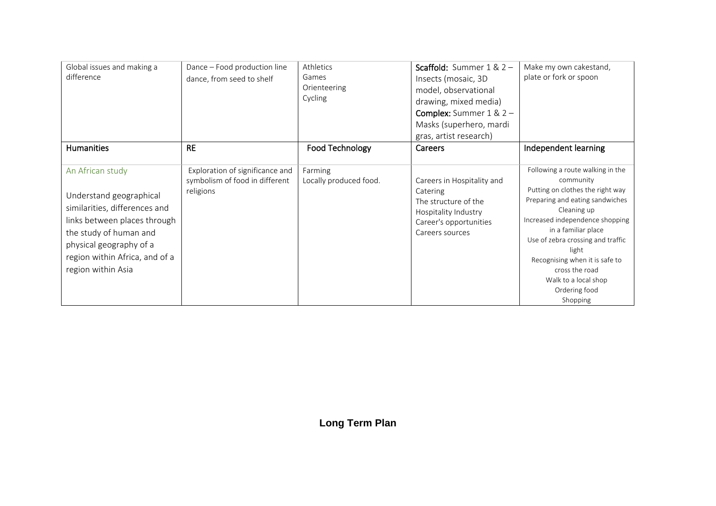| Global issues and making a<br>difference                                                                                                                                                                                  | Dance - Food production line<br>dance, from seed to shelf                      | Athletics<br>Games<br>Orienteering<br>Cycling | <b>Scaffold:</b> Summer $1 & 2 -$<br>Insects (mosaic, 3D<br>model, observational<br>drawing, mixed media)<br><b>Complex:</b> Summer $1 & 2 -$<br>Masks (superhero, mardi<br>gras, artist research) | Make my own cakestand,<br>plate or fork or spoon                                                                                                                                                                                                                                                                                                     |
|---------------------------------------------------------------------------------------------------------------------------------------------------------------------------------------------------------------------------|--------------------------------------------------------------------------------|-----------------------------------------------|----------------------------------------------------------------------------------------------------------------------------------------------------------------------------------------------------|------------------------------------------------------------------------------------------------------------------------------------------------------------------------------------------------------------------------------------------------------------------------------------------------------------------------------------------------------|
| <b>Humanities</b>                                                                                                                                                                                                         | <b>RE</b>                                                                      | Food Technology                               | <b>Careers</b>                                                                                                                                                                                     | Independent learning                                                                                                                                                                                                                                                                                                                                 |
| An African study<br>Understand geographical<br>similarities, differences and<br>links between places through<br>the study of human and<br>physical geography of a<br>region within Africa, and of a<br>region within Asia | Exploration of significance and<br>symbolism of food in different<br>religions | Farming<br>Locally produced food.             | Careers in Hospitality and<br>Catering<br>The structure of the<br>Hospitality Industry<br>Career's opportunities<br>Careers sources                                                                | Following a route walking in the<br>community<br>Putting on clothes the right way<br>Preparing and eating sandwiches<br>Cleaning up<br>Increased independence shopping<br>in a familiar place<br>Use of zebra crossing and traffic<br>light<br>Recognising when it is safe to<br>cross the road<br>Walk to a local shop<br>Ordering food<br>Shopping |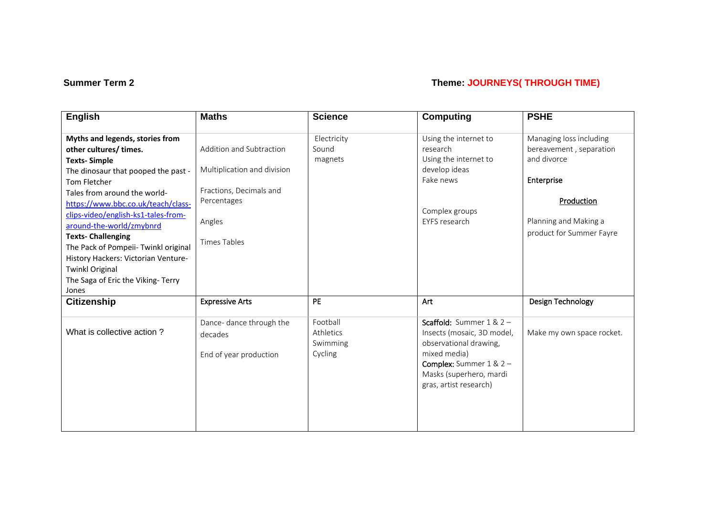### **Summer Term 2** Theme: **JOURNEYS( THROUGH TIME)**

| <b>English</b>                                                                                                                                                                                                                                                                           | <b>Maths</b>                                                                       | <b>Science</b>                               | <b>Computing</b>                                                                                                                                                                            | <b>PSHE</b>                                                                     |
|------------------------------------------------------------------------------------------------------------------------------------------------------------------------------------------------------------------------------------------------------------------------------------------|------------------------------------------------------------------------------------|----------------------------------------------|---------------------------------------------------------------------------------------------------------------------------------------------------------------------------------------------|---------------------------------------------------------------------------------|
| Myths and legends, stories from<br>other cultures/times.<br><b>Texts-Simple</b><br>The dinosaur that pooped the past -<br>Tom Fletcher<br>Tales from around the world-                                                                                                                   | Addition and Subtraction<br>Multiplication and division<br>Fractions, Decimals and | Electricity<br>Sound<br>magnets              | Using the internet to<br>research<br>Using the internet to<br>develop ideas<br>Fake news                                                                                                    | Managing loss including<br>bereavement, separation<br>and divorce<br>Enterprise |
| https://www.bbc.co.uk/teach/class-<br>clips-video/english-ks1-tales-from-<br>around-the-world/zmybnrd<br><b>Texts-Challenging</b><br>The Pack of Pompeii- Twinkl original<br>History Hackers: Victorian Venture-<br><b>Twinkl Original</b><br>The Saga of Eric the Viking-Terry<br>Jones | Percentages<br>Angles<br><b>Times Tables</b>                                       |                                              | Complex groups<br>EYFS research                                                                                                                                                             | Production<br>Planning and Making a<br>product for Summer Fayre                 |
| <b>Citizenship</b>                                                                                                                                                                                                                                                                       | <b>Expressive Arts</b>                                                             | <b>PE</b>                                    | Art                                                                                                                                                                                         | Design Technology                                                               |
| What is collective action?                                                                                                                                                                                                                                                               | Dance- dance through the<br>decades<br>End of year production                      | Football<br>Athletics<br>Swimming<br>Cycling | Scaffold: Summer $1 & 2 -$<br>Insects (mosaic, 3D model,<br>observational drawing,<br>mixed media)<br><b>Complex:</b> Summer $1 & 2 -$<br>Masks (superhero, mardi<br>gras, artist research) | Make my own space rocket.                                                       |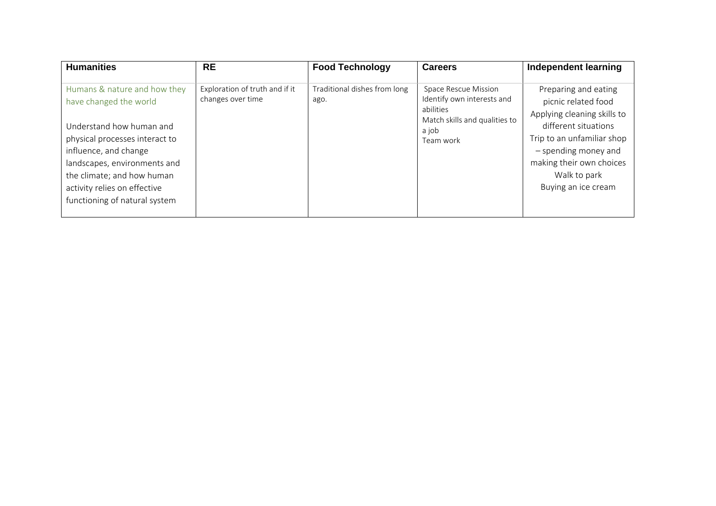| <b>Humanities</b>                                                                                                                                                                                                                                                            | <b>RE</b>                                           | <b>Food Technology</b>               | <b>Careers</b>                                                                                                         | Independent learning                                                                                                                                                                                                        |
|------------------------------------------------------------------------------------------------------------------------------------------------------------------------------------------------------------------------------------------------------------------------------|-----------------------------------------------------|--------------------------------------|------------------------------------------------------------------------------------------------------------------------|-----------------------------------------------------------------------------------------------------------------------------------------------------------------------------------------------------------------------------|
| Humans & nature and how they<br>have changed the world<br>Understand how human and<br>physical processes interact to<br>influence, and change<br>landscapes, environments and<br>the climate; and how human<br>activity relies on effective<br>functioning of natural system | Exploration of truth and if it<br>changes over time | Traditional dishes from long<br>ago. | Space Rescue Mission<br>Identify own interests and<br>abilities<br>Match skills and qualities to<br>a job<br>Team work | Preparing and eating<br>picnic related food<br>Applying cleaning skills to<br>different situations<br>Trip to an unfamiliar shop<br>- spending money and<br>making their own choices<br>Walk to park<br>Buying an ice cream |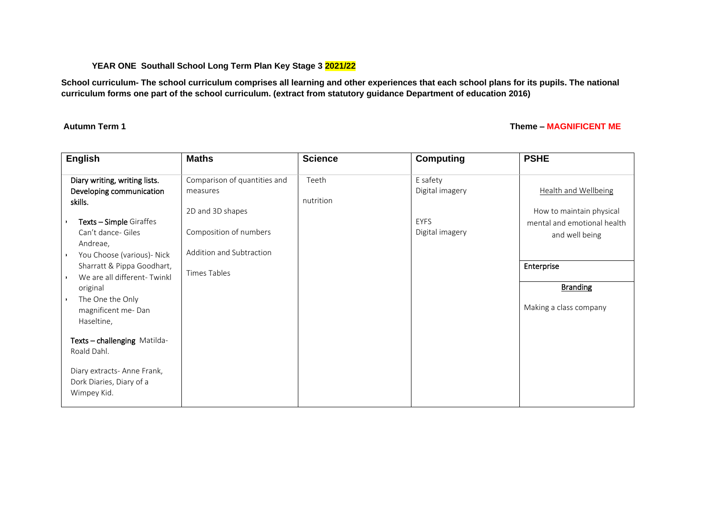### **YEAR ONE Southall School Long Term Plan Key Stage 3 2021/22**

**School curriculum- The school curriculum comprises all learning and other experiences that each school plans for its pupils. The national curriculum forms one part of the school curriculum. (extract from statutory guidance Department of education 2016)** 

### **Autumn Term 1 Theme – MAGNIFICENT ME**

| <b>English</b>                                                                                                                                                                                                                                                                                                                                                                                                                                                                                     | <b>Maths</b>                                                                                                                              | <b>Science</b>     | <b>Computing</b>                                              | <b>PSHE</b>                                                                                                                                                         |
|----------------------------------------------------------------------------------------------------------------------------------------------------------------------------------------------------------------------------------------------------------------------------------------------------------------------------------------------------------------------------------------------------------------------------------------------------------------------------------------------------|-------------------------------------------------------------------------------------------------------------------------------------------|--------------------|---------------------------------------------------------------|---------------------------------------------------------------------------------------------------------------------------------------------------------------------|
| Diary writing, writing lists.<br>Developing communication<br>skills.<br><b>Texts - Simple Giraffes</b><br>Can't dance- Giles<br>Andreae,<br>You Choose (various)- Nick<br>$\blacksquare$<br>Sharratt & Pippa Goodhart,<br>We are all different-Twinkl<br>$\ddot{\phantom{1}}$<br>original<br>The One the Only<br>$\ddot{\phantom{1}}$<br>magnificent me-Dan<br>Haseltine,<br>Texts - challenging Matilda-<br>Roald Dahl.<br>Diary extracts- Anne Frank,<br>Dork Diaries, Diary of a<br>Wimpey Kid. | Comparison of quantities and<br>measures<br>2D and 3D shapes<br>Composition of numbers<br>Addition and Subtraction<br><b>Times Tables</b> | Teeth<br>nutrition | E safety<br>Digital imagery<br><b>EYFS</b><br>Digital imagery | <b>Health and Wellbeing</b><br>How to maintain physical<br>mental and emotional health<br>and well being<br>Enterprise<br><b>Branding</b><br>Making a class company |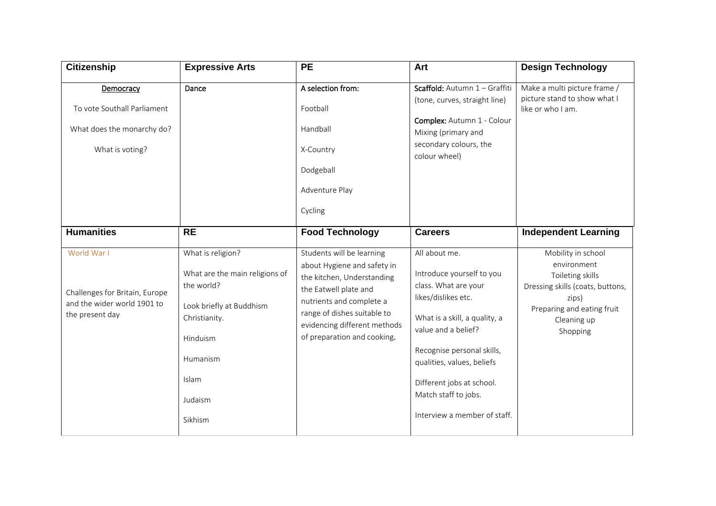| Citizenship                                                                                     | <b>Expressive Arts</b>                                                                                                                                                | <b>PE</b>                                                                                                                                                                                                                                 | Art                                                                                                                                                                                                                                                                                                | <b>Design Technology</b>                                                                                                                                    |
|-------------------------------------------------------------------------------------------------|-----------------------------------------------------------------------------------------------------------------------------------------------------------------------|-------------------------------------------------------------------------------------------------------------------------------------------------------------------------------------------------------------------------------------------|----------------------------------------------------------------------------------------------------------------------------------------------------------------------------------------------------------------------------------------------------------------------------------------------------|-------------------------------------------------------------------------------------------------------------------------------------------------------------|
| Democracy                                                                                       | Dance                                                                                                                                                                 | A selection from:                                                                                                                                                                                                                         | Scaffold: Autumn 1 - Graffiti<br>(tone, curves, straight line)                                                                                                                                                                                                                                     | Make a multi picture frame /<br>picture stand to show what I                                                                                                |
| To vote Southall Parliament                                                                     |                                                                                                                                                                       | Football                                                                                                                                                                                                                                  |                                                                                                                                                                                                                                                                                                    | like or who I am.                                                                                                                                           |
| What does the monarchy do?                                                                      |                                                                                                                                                                       | Handball                                                                                                                                                                                                                                  | Complex: Autumn 1 - Colour<br>Mixing (primary and                                                                                                                                                                                                                                                  |                                                                                                                                                             |
| What is voting?                                                                                 |                                                                                                                                                                       | X-Country                                                                                                                                                                                                                                 | secondary colours, the<br>colour wheel)                                                                                                                                                                                                                                                            |                                                                                                                                                             |
|                                                                                                 |                                                                                                                                                                       | Dodgeball                                                                                                                                                                                                                                 |                                                                                                                                                                                                                                                                                                    |                                                                                                                                                             |
|                                                                                                 |                                                                                                                                                                       | Adventure Play                                                                                                                                                                                                                            |                                                                                                                                                                                                                                                                                                    |                                                                                                                                                             |
|                                                                                                 |                                                                                                                                                                       | Cycling                                                                                                                                                                                                                                   |                                                                                                                                                                                                                                                                                                    |                                                                                                                                                             |
| <b>Humanities</b>                                                                               | <b>RE</b>                                                                                                                                                             | <b>Food Technology</b>                                                                                                                                                                                                                    | <b>Careers</b>                                                                                                                                                                                                                                                                                     | <b>Independent Learning</b>                                                                                                                                 |
| World War I<br>Challenges for Britain, Europe<br>and the wider world 1901 to<br>the present day | What is religion?<br>What are the main religions of<br>the world?<br>Look briefly at Buddhism<br>Christianity.<br>Hinduism<br>Humanism<br>Islam<br>Judaism<br>Sikhism | Students will be learning<br>about Hygiene and safety in<br>the kitchen, Understanding<br>the Eatwell plate and<br>nutrients and complete a<br>range of dishes suitable to<br>evidencing different methods<br>of preparation and cooking. | All about me.<br>Introduce yourself to you<br>class. What are your<br>likes/dislikes etc.<br>What is a skill, a quality, a<br>value and a belief?<br>Recognise personal skills,<br>qualities, values, beliefs<br>Different jobs at school.<br>Match staff to jobs.<br>Interview a member of staff. | Mobility in school<br>environment<br>Toileting skills<br>Dressing skills (coats, buttons,<br>zips)<br>Preparing and eating fruit<br>Cleaning up<br>Shopping |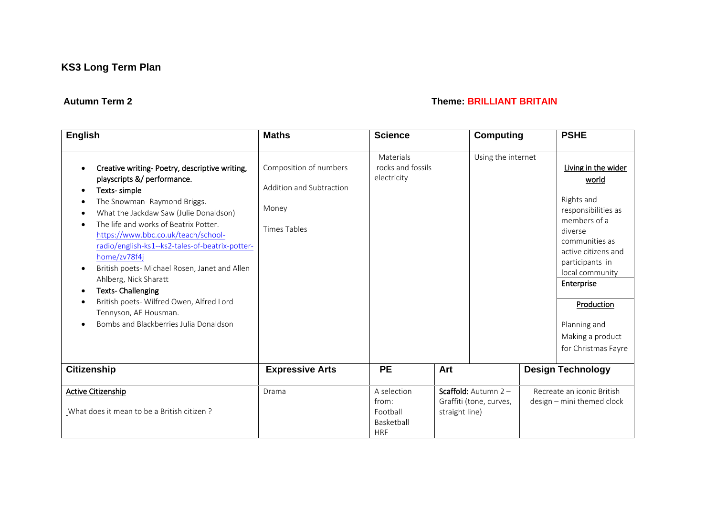### **Autumn Term 2 Theme: BRILLIANT BRITAIN**

| <b>English</b>                                                                                                                                                                                                                                                                                                                                                                                                                                                                                                                                                                                                                           | <b>Maths</b>                                                                       | <b>Science</b>                                               |                | <b>Computing</b>                                | <b>PSHE</b>                                                                                                                                                                                                                                                        |
|------------------------------------------------------------------------------------------------------------------------------------------------------------------------------------------------------------------------------------------------------------------------------------------------------------------------------------------------------------------------------------------------------------------------------------------------------------------------------------------------------------------------------------------------------------------------------------------------------------------------------------------|------------------------------------------------------------------------------------|--------------------------------------------------------------|----------------|-------------------------------------------------|--------------------------------------------------------------------------------------------------------------------------------------------------------------------------------------------------------------------------------------------------------------------|
| Creative writing- Poetry, descriptive writing,<br>$\bullet$<br>playscripts &/ performance.<br>Texts-simple<br>٠<br>The Snowman- Raymond Briggs.<br>What the Jackdaw Saw (Julie Donaldson)<br>٠<br>The life and works of Beatrix Potter.<br>$\bullet$<br>https://www.bbc.co.uk/teach/school-<br>radio/english-ks1--ks2-tales-of-beatrix-potter-<br>home/zv78f4j<br>British poets- Michael Rosen, Janet and Allen<br>$\bullet$<br>Ahlberg, Nick Sharatt<br><b>Texts- Challenging</b><br>$\bullet$<br>British poets- Wilfred Owen, Alfred Lord<br>$\bullet$<br>Tennyson, AE Housman.<br>Bombs and Blackberries Julia Donaldson<br>$\bullet$ | Composition of numbers<br>Addition and Subtraction<br>Money<br><b>Times Tables</b> | Materials<br>rocks and fossils<br>electricity                |                | Using the internet                              | Living in the wider<br>world<br>Rights and<br>responsibilities as<br>members of a<br>diverse<br>communities as<br>active citizens and<br>participants in<br>local community<br>Enterprise<br>Production<br>Planning and<br>Making a product<br>for Christmas Fayre |
| <b>Citizenship</b>                                                                                                                                                                                                                                                                                                                                                                                                                                                                                                                                                                                                                       | <b>Expressive Arts</b>                                                             | <b>PE</b>                                                    | Art            |                                                 | <b>Design Technology</b>                                                                                                                                                                                                                                           |
| Active Citizenship<br>What does it mean to be a British citizen?                                                                                                                                                                                                                                                                                                                                                                                                                                                                                                                                                                         | Drama                                                                              | A selection<br>from:<br>Football<br>Basketball<br><b>HRF</b> | straight line) | Scaffold: Autumn 2 -<br>Graffiti (tone, curves, | Recreate an iconic British<br>design - mini themed clock                                                                                                                                                                                                           |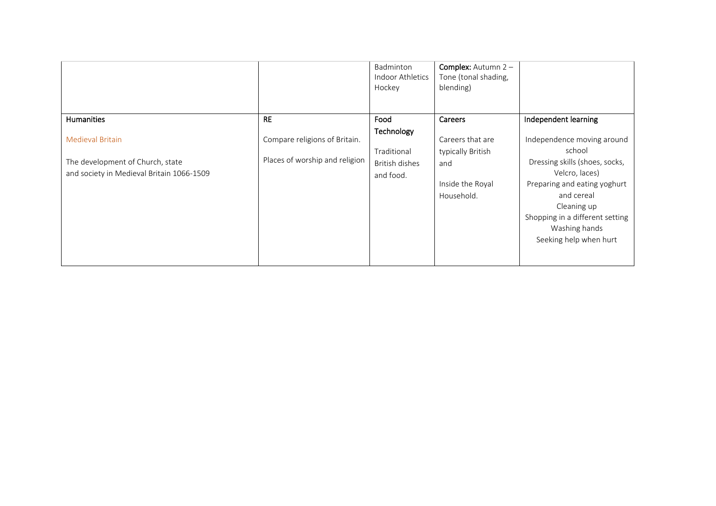|                                                                                                          |                                                                 | Badminton<br><b>Indoor Athletics</b><br>Hockey           | <b>Complex:</b> Autumn $2 -$<br>Tone (tonal shading,<br>blending)              |                                                                                                                                                                                                                                     |
|----------------------------------------------------------------------------------------------------------|-----------------------------------------------------------------|----------------------------------------------------------|--------------------------------------------------------------------------------|-------------------------------------------------------------------------------------------------------------------------------------------------------------------------------------------------------------------------------------|
| Humanities                                                                                               | <b>RE</b>                                                       | Food                                                     | Careers                                                                        | Independent learning                                                                                                                                                                                                                |
| <b>Medieval Britain</b><br>The development of Church, state<br>and society in Medieval Britain 1066-1509 | Compare religions of Britain.<br>Places of worship and religion | Technology<br>Traditional<br>British dishes<br>and food. | Careers that are<br>typically British<br>and<br>Inside the Royal<br>Household. | Independence moving around<br>school<br>Dressing skills (shoes, socks,<br>Velcro, laces)<br>Preparing and eating yoghurt<br>and cereal<br>Cleaning up<br>Shopping in a different setting<br>Washing hands<br>Seeking help when hurt |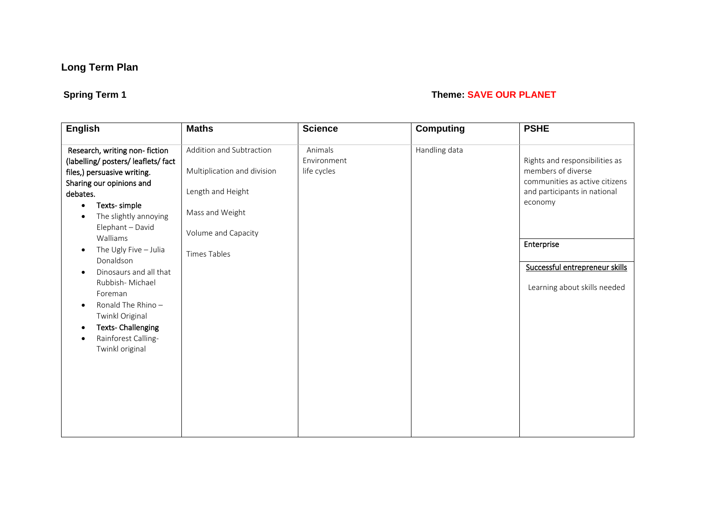# **Spring Term 1** Theme: **SAVE OUR PLANET**

| <b>English</b>                                                                                                                                                                                                                       | <b>Maths</b>                                                                                    | <b>Science</b>                        | <b>Computing</b> | <b>PSHE</b>                                                                                                                       |
|--------------------------------------------------------------------------------------------------------------------------------------------------------------------------------------------------------------------------------------|-------------------------------------------------------------------------------------------------|---------------------------------------|------------------|-----------------------------------------------------------------------------------------------------------------------------------|
| Research, writing non-fiction<br>(labelling/ posters/ leaflets/ fact<br>files,) persuasive writing.<br>Sharing our opinions and<br>debates.<br>Texts-simple<br>$\bullet$<br>The slightly annoying<br>$\bullet$<br>Elephant - David   | Addition and Subtraction<br>Multiplication and division<br>Length and Height<br>Mass and Weight | Animals<br>Environment<br>life cycles | Handling data    | Rights and responsibilities as<br>members of diverse<br>communities as active citizens<br>and participants in national<br>economy |
| Walliams<br>The Ugly Five $-$ Julia<br>$\bullet$                                                                                                                                                                                     | Volume and Capacity                                                                             |                                       |                  | Enterprise                                                                                                                        |
| Donaldson<br>Dinosaurs and all that<br>$\bullet$<br>Rubbish-Michael<br>Foreman<br>Ronald The Rhino-<br>$\bullet$<br>Twinkl Original<br><b>Texts- Challenging</b><br>$\bullet$<br>Rainforest Calling-<br>$\bullet$<br>Twinkl original | <b>Times Tables</b>                                                                             |                                       |                  | Successful entrepreneur skills<br>Learning about skills needed                                                                    |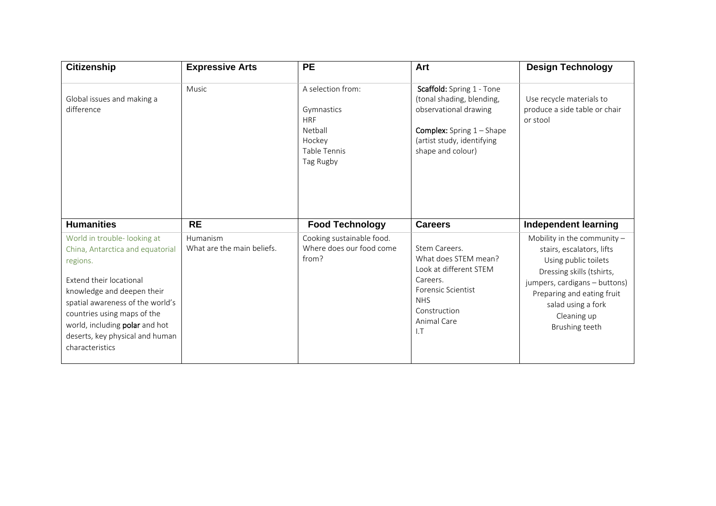| <b>Citizenship</b>                                                                                                                                                                                                                                                                               | <b>Expressive Arts</b>                 | <b>PE</b>                                                                                              | Art                                                                                                                                                                      | <b>Design Technology</b>                                                                                                                                                                                                              |
|--------------------------------------------------------------------------------------------------------------------------------------------------------------------------------------------------------------------------------------------------------------------------------------------------|----------------------------------------|--------------------------------------------------------------------------------------------------------|--------------------------------------------------------------------------------------------------------------------------------------------------------------------------|---------------------------------------------------------------------------------------------------------------------------------------------------------------------------------------------------------------------------------------|
| Global issues and making a<br>difference                                                                                                                                                                                                                                                         | Music                                  | A selection from:<br>Gymnastics<br><b>HRF</b><br>Netball<br>Hockey<br><b>Table Tennis</b><br>Tag Rugby | Scaffold: Spring 1 - Tone<br>(tonal shading, blending,<br>observational drawing<br><b>Complex:</b> Spring $1 -$ Shape<br>(artist study, identifying<br>shape and colour) | Use recycle materials to<br>produce a side table or chair<br>or stool                                                                                                                                                                 |
| <b>Humanities</b>                                                                                                                                                                                                                                                                                | <b>RE</b>                              | <b>Food Technology</b>                                                                                 | <b>Careers</b>                                                                                                                                                           | <b>Independent learning</b>                                                                                                                                                                                                           |
| World in trouble- looking at<br>China, Antarctica and equatorial<br>regions.<br>Extend their locational<br>knowledge and deepen their<br>spatial awareness of the world's<br>countries using maps of the<br>world, including polar and hot<br>deserts, key physical and human<br>characteristics | Humanism<br>What are the main beliefs. | Cooking sustainable food.<br>Where does our food come<br>from?                                         | Stem Careers.<br>What does STEM mean?<br>Look at different STEM<br>Careers.<br><b>Forensic Scientist</b><br><b>NHS</b><br>Construction<br>Animal Care<br>LT              | Mobility in the community $-$<br>stairs, escalators, lifts<br>Using public toilets<br>Dressing skills (tshirts,<br>jumpers, cardigans - buttons)<br>Preparing and eating fruit<br>salad using a fork<br>Cleaning up<br>Brushing teeth |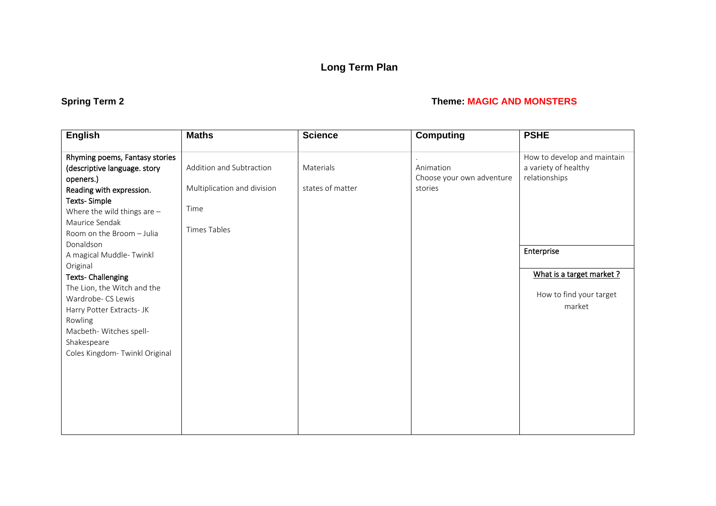# **Spring Term 2 Theme: MAGIC AND MONSTERS**

| <b>English</b>                 | <b>Maths</b>                | <b>Science</b>   | <b>Computing</b>          | <b>PSHE</b>                 |
|--------------------------------|-----------------------------|------------------|---------------------------|-----------------------------|
| Rhyming poems, Fantasy stories |                             |                  |                           | How to develop and maintain |
| (descriptive language. story   | Addition and Subtraction    | Materials        | Animation                 | a variety of healthy        |
| openers.)                      |                             |                  | Choose your own adventure | relationships               |
| Reading with expression.       | Multiplication and division | states of matter | stories                   |                             |
| <b>Texts-Simple</b>            |                             |                  |                           |                             |
| Where the wild things are $-$  | Time                        |                  |                           |                             |
| Maurice Sendak                 | Times Tables                |                  |                           |                             |
| Room on the Broom - Julia      |                             |                  |                           |                             |
| Donaldson                      |                             |                  |                           | Enterprise                  |
| A magical Muddle-Twinkl        |                             |                  |                           |                             |
| Original                       |                             |                  |                           | What is a target market ?   |
| <b>Texts-Challenging</b>       |                             |                  |                           |                             |
| The Lion, the Witch and the    |                             |                  |                           | How to find your target     |
| Wardrobe- CS Lewis             |                             |                  |                           | market                      |
| Harry Potter Extracts- JK      |                             |                  |                           |                             |
| Rowling                        |                             |                  |                           |                             |
| Macbeth- Witches spell-        |                             |                  |                           |                             |
| Shakespeare                    |                             |                  |                           |                             |
| Coles Kingdom- Twinkl Original |                             |                  |                           |                             |
|                                |                             |                  |                           |                             |
|                                |                             |                  |                           |                             |
|                                |                             |                  |                           |                             |
|                                |                             |                  |                           |                             |
|                                |                             |                  |                           |                             |
|                                |                             |                  |                           |                             |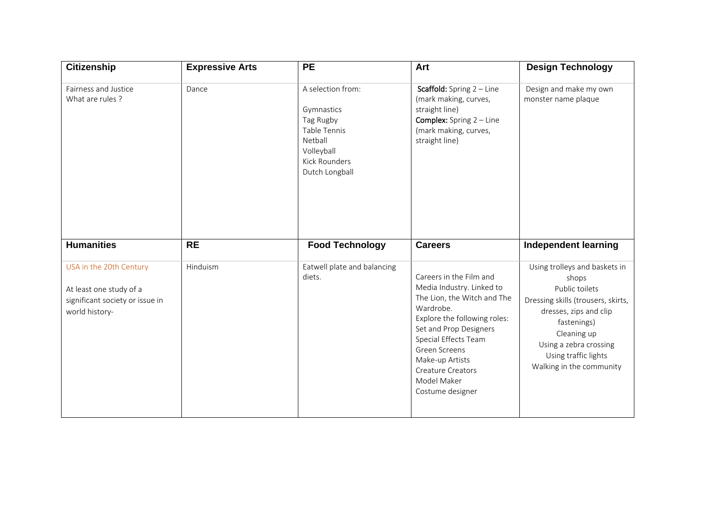| <b>Citizenship</b>                                                                                      | <b>Expressive Arts</b> | <b>PE</b>                                                                                                                | Art                                                                                                                                                                                                                                                                                   | <b>Design Technology</b>                                                                                                                                                                                                             |
|---------------------------------------------------------------------------------------------------------|------------------------|--------------------------------------------------------------------------------------------------------------------------|---------------------------------------------------------------------------------------------------------------------------------------------------------------------------------------------------------------------------------------------------------------------------------------|--------------------------------------------------------------------------------------------------------------------------------------------------------------------------------------------------------------------------------------|
| Fairness and Justice<br>What are rules ?                                                                | Dance                  | A selection from:<br>Gymnastics<br>Tag Rugby<br>Table Tennis<br>Netball<br>Volleyball<br>Kick Rounders<br>Dutch Longball | <b>Scaffold:</b> Spring $2 -$ Line<br>(mark making, curves,<br>straight line)<br><b>Complex:</b> Spring $2 -$ Line<br>(mark making, curves,<br>straight line)                                                                                                                         | Design and make my own<br>monster name plaque                                                                                                                                                                                        |
| <b>Humanities</b>                                                                                       | <b>RE</b>              | <b>Food Technology</b>                                                                                                   | <b>Careers</b>                                                                                                                                                                                                                                                                        | <b>Independent learning</b>                                                                                                                                                                                                          |
| USA in the 20th Century<br>At least one study of a<br>significant society or issue in<br>world history- | Hinduism               | Eatwell plate and balancing<br>diets.                                                                                    | Careers in the Film and<br>Media Industry. Linked to<br>The Lion, the Witch and The<br>Wardrobe.<br>Explore the following roles:<br>Set and Prop Designers<br>Special Effects Team<br>Green Screens<br>Make-up Artists<br><b>Creature Creators</b><br>Model Maker<br>Costume designer | Using trolleys and baskets in<br>shops<br>Public toilets<br>Dressing skills (trousers, skirts,<br>dresses, zips and clip<br>fastenings)<br>Cleaning up<br>Using a zebra crossing<br>Using traffic lights<br>Walking in the community |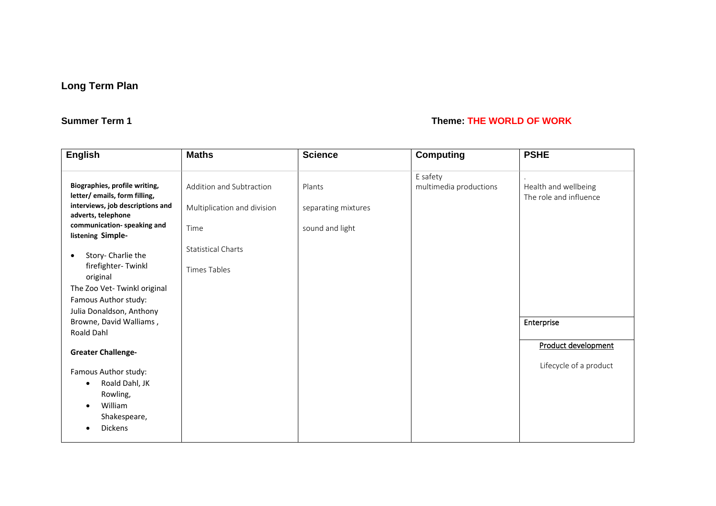### **Summer Term 1** Theme: **THE WORLD OF WORK**

| <b>English</b>                                         | <b>Maths</b>                | <b>Science</b>      | <b>Computing</b>       | <b>PSHE</b>                                    |
|--------------------------------------------------------|-----------------------------|---------------------|------------------------|------------------------------------------------|
| Biographies, profile writing,                          |                             |                     | E safety               |                                                |
| letter/ emails, form filling,                          | Addition and Subtraction    | Plants              | multimedia productions | Health and wellbeing<br>The role and influence |
| interviews, job descriptions and<br>adverts, telephone | Multiplication and division | separating mixtures |                        |                                                |
| communication-speaking and<br>listening Simple-        | Time                        | sound and light     |                        |                                                |
| Story- Charlie the<br>٠                                | <b>Statistical Charts</b>   |                     |                        |                                                |
| firefighter-Twinkl<br>original                         | Times Tables                |                     |                        |                                                |
| The Zoo Vet- Twinkl original                           |                             |                     |                        |                                                |
| Famous Author study:                                   |                             |                     |                        |                                                |
| Julia Donaldson, Anthony                               |                             |                     |                        |                                                |
| Browne, David Walliams,                                |                             |                     |                        | Enterprise                                     |
| Roald Dahl                                             |                             |                     |                        |                                                |
| <b>Greater Challenge-</b>                              |                             |                     |                        | <b>Product development</b>                     |
| Famous Author study:                                   |                             |                     |                        | Lifecycle of a product                         |
| Roald Dahl, JK<br>$\bullet$                            |                             |                     |                        |                                                |
| Rowling,                                               |                             |                     |                        |                                                |
| William<br>$\bullet$                                   |                             |                     |                        |                                                |
| Shakespeare,                                           |                             |                     |                        |                                                |
| Dickens                                                |                             |                     |                        |                                                |
|                                                        |                             |                     |                        |                                                |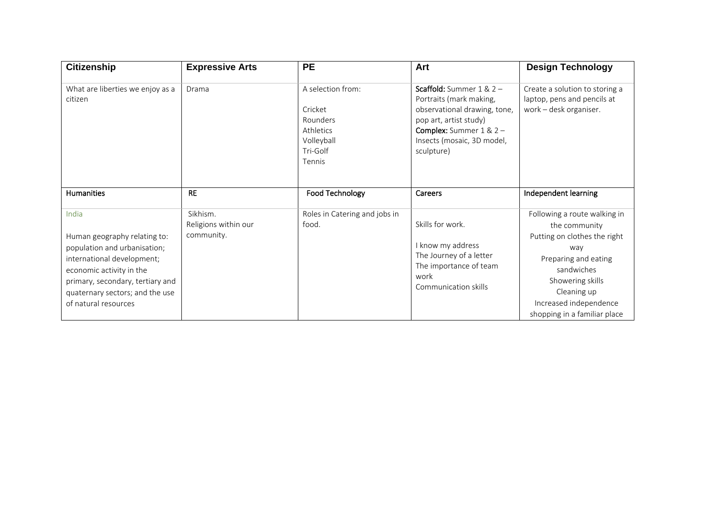| <b>Citizenship</b>                                                                                                                                                                                                             | <b>Expressive Arts</b>                         | <b>PE</b>                                                                                 | Art                                                                                                                                                                                                    | <b>Design Technology</b>                                                                                                                                                                                                |
|--------------------------------------------------------------------------------------------------------------------------------------------------------------------------------------------------------------------------------|------------------------------------------------|-------------------------------------------------------------------------------------------|--------------------------------------------------------------------------------------------------------------------------------------------------------------------------------------------------------|-------------------------------------------------------------------------------------------------------------------------------------------------------------------------------------------------------------------------|
| What are liberties we enjoy as a<br>citizen                                                                                                                                                                                    | Drama                                          | A selection from:<br>Cricket<br>Rounders<br>Athletics<br>Volleyball<br>Tri-Golf<br>Tennis | <b>Scaffold:</b> Summer $1 & 2 -$<br>Portraits (mark making,<br>observational drawing, tone,<br>pop art, artist study)<br><b>Complex:</b> Summer $1 & 2 -$<br>Insects (mosaic, 3D model,<br>sculpture) | Create a solution to storing a<br>laptop, pens and pencils at<br>work - desk organiser.                                                                                                                                 |
| <b>Humanities</b>                                                                                                                                                                                                              | <b>RE</b>                                      | Food Technology                                                                           | Careers                                                                                                                                                                                                | Independent learning                                                                                                                                                                                                    |
| India<br>Human geography relating to:<br>population and urbanisation;<br>international development;<br>economic activity in the<br>primary, secondary, tertiary and<br>quaternary sectors; and the use<br>of natural resources | Sikhism.<br>Religions within our<br>community. | Roles in Catering and jobs in<br>food.                                                    | Skills for work.<br>I know my address<br>The Journey of a letter<br>The importance of team<br>work<br>Communication skills                                                                             | Following a route walking in<br>the community<br>Putting on clothes the right<br>way<br>Preparing and eating<br>sandwiches<br>Showering skills<br>Cleaning up<br>Increased independence<br>shopping in a familiar place |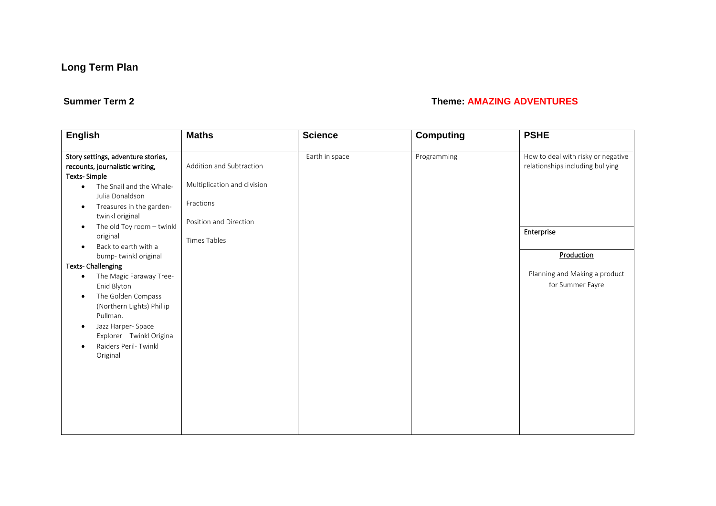### **Summer Term 2** Theme: **AMAZING ADVENTURES**

| <b>English</b>                                                                                                                                                                                                                                    | <b>Maths</b>                                                                                   | <b>Science</b> | <b>Computing</b>                                  | <b>PSHE</b>                                                            |
|---------------------------------------------------------------------------------------------------------------------------------------------------------------------------------------------------------------------------------------------------|------------------------------------------------------------------------------------------------|----------------|---------------------------------------------------|------------------------------------------------------------------------|
| Story settings, adventure stories,<br>recounts, journalistic writing,<br><b>Texts-Simple</b><br>The Snail and the Whale-<br>$\bullet$<br>Julia Donaldson<br>Treasures in the garden-<br>$\bullet$<br>twinkl original                              | Addition and Subtraction<br>Multiplication and division<br>Fractions<br>Position and Direction | Earth in space | Programming                                       | How to deal with risky or negative<br>relationships including bullying |
| The old Toy room - twinkl<br>$\bullet$<br>original<br>Back to earth with a<br>$\bullet$                                                                                                                                                           | <b>Times Tables</b>                                                                            |                |                                                   | Enterprise                                                             |
| bump-twinkl original<br><b>Texts-Challenging</b>                                                                                                                                                                                                  |                                                                                                |                |                                                   | Production                                                             |
| The Magic Faraway Tree-<br>$\bullet$<br>Enid Blyton<br>The Golden Compass<br>$\bullet$<br>(Northern Lights) Phillip<br>Pullman.<br>Jazz Harper-Space<br>$\bullet$<br>Explorer - Twinkl Original<br>Raiders Peril- Twinkl<br>$\bullet$<br>Original |                                                                                                |                | Planning and Making a product<br>for Summer Fayre |                                                                        |
|                                                                                                                                                                                                                                                   |                                                                                                |                |                                                   |                                                                        |